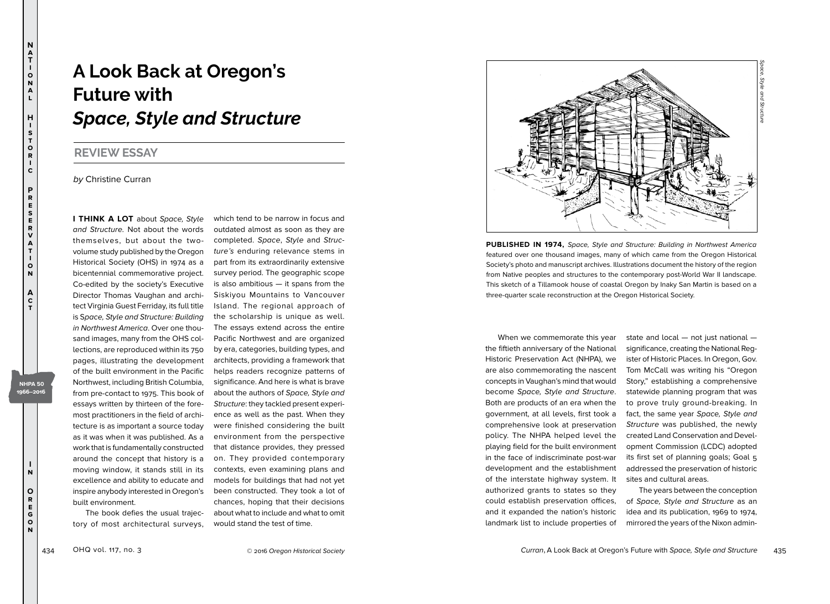## **A Look Back at Oregon's Future with**  *Space, Style and Structure*

## **REVIEW ESSAY**

**N a T i o n a l**

**H i s t o r i c**

**P r e s e r v a t i o n**

**A c t**

> **I n**

**NHPA 50 1966–2016**

> **O r e g o n**

by Christine Curran

**I THINK A LOT** about Space, Style and Structure. Not about the words themselves, but about the twovolume study published by the Oregon Historical Society (OHS) in 1974 as a bicentennial commemorative project. Co-edited by the society's Executive Director Thomas Vaughan and architect Virginia Guest Ferriday, its full title is Space, Style and Structure: Building in Northwest America. Over one thousand images, many from the OHS collections, are reproduced within its 750 pages, illustrating the development of the built environment in the Pacific Northwest, including British Columbia, from pre-contact to 1975. This book of essays written by thirteen of the foremost practitioners in the field of architecture is as important a source today as it was when it was published. As a work that is fundamentally constructed around the concept that history is a moving window, it stands still in its excellence and ability to educate and inspire anybody interested in Oregon's built environment.

The book defies the usual trajectory of most architectural surveys,

which tend to be narrow in focus and outdated almost as soon as they are completed. Space, Style and Structure's enduring relevance stems in part from its extraordinarily extensive survey period. The geographic scope is also ambitious — it spans from the Siskiyou Mountains to Vancouver Island. The regional approach of the scholarship is unique as well. The essays extend across the entire Pacific Northwest and are organized by era, categories, building types, and architects, providing a framework that helps readers recognize patterns of significance. And here is what is brave about the authors of Space, Style and Structure: they tackled present experience as well as the past. When they were finished considering the built environment from the perspective that distance provides, they pressed on. They provided contemporary contexts, even examining plans and models for buildings that had not yet been constructed. They took a lot of chances, hoping that their decisions about what to include and what to omit would stand the test of time.



**PUBLISHED IN 1974,** Space, Style and Structure: Building in Northwest America featured over one thousand images, many of which came from the Oregon Historical Society's photo and manuscript archives. Illustrations document the history of the region from Native peoples and structures to the contemporary post-World War II landscape. This sketch of a Tillamook house of coastal Oregon by Inaky San Martin is based on a three-quarter scale reconstruction at the Oregon Historical Society.

When we commemorate this year the fiftieth anniversary of the National Historic Preservation Act (NHPA), we are also commemorating the nascent concepts in Vaughan's mind that would become Space, Style and Structure. Both are products of an era when the government, at all levels, first took a comprehensive look at preservation policy. The NHPA helped level the playing field for the built environment in the face of indiscriminate post-war development and the establishment of the interstate highway system. It authorized grants to states so they could establish preservation offices, and it expanded the nation's historic landmark list to include properties of

state and local — not just national significance, creating the National Register of Historic Places. In Oregon, Gov. Tom McCall was writing his "Oregon Story," establishing a comprehensive statewide planning program that was to prove truly ground-breaking. In fact, the same year Space, Style and Structure was published, the newly created Land Conservation and Development Commission (LCDC) adopted its first set of planning goals; Goal 5 addressed the preservation of historic sites and cultural areas.

The years between the conception of Space, Style and Structure as an idea and its publication, 1969 to 1974, mirrored the years of the Nixon admin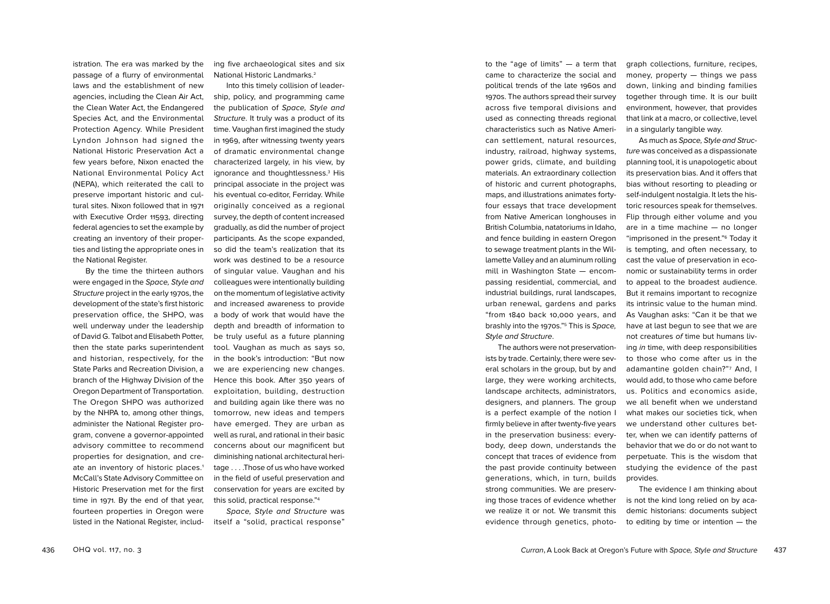agencies, including the Clean Air Act, the Clean Water Act, the Endangered Species Act, and the Environmental Protection Agency. While President Lyndon Johnson had signed the National Historic Preservation Act a few years before, Nixon enacted the National Environmental Policy Act (NEPA), which reiterated the call to preserve important historic and cultural sites. Nixon followed that in 1971 with Executive Order 11593, directing federal agencies to set the example by creating an inventory of their properties and listing the appropriate ones in the National Register. By the time the thirteen authors were engaged in the Space, Style and

istration. The era was marked by the passage of a flurry of environmental laws and the establishment of new

Structure project in the early 1970s, the development of the state's first historic preservation office, the SHPO, was well underway under the leadership of David G. Talbot and Elisabeth Potter, then the state parks superintendent and historian, respectively, for the State Parks and Recreation Division, a branch of the Highway Division of the Oregon Department of Transportation. The Oregon SHPO was authorized by the NHPA to, among other things, administer the National Register program, convene a governor-appointed advisory committee to recommend properties for designation, and create an inventory of historic places.<sup>1</sup> McCall's State Advisory Committee on Historic Preservation met for the first time in 1971. By the end of that year, fourteen properties in Oregon were listed in the National Register, including five archaeological sites and six National Historic Landmarks.2

Into this timely collision of leadership, policy, and programming came the publication of Space, Style and Structure. It truly was a product of its time. Vaughan first imagined the study in 1969, after witnessing twenty years of dramatic environmental change characterized largely, in his view, by ignorance and thoughtlessness.<sup>3</sup> His principal associate in the project was his eventual co-editor, Ferriday. While originally conceived as a regional survey, the depth of content increased gradually, as did the number of project participants. As the scope expanded, so did the team's realization that its work was destined to be a resource of singular value. Vaughan and his colleagues were intentionally building on the momentum of legislative activity and increased awareness to provide a body of work that would have the depth and breadth of information to be truly useful as a future planning tool. Vaughan as much as says so, in the book's introduction: "But now we are experiencing new changes. Hence this book. After 350 years of exploitation, building, destruction and building again like there was no tomorrow, new ideas and tempers have emerged. They are urban as well as rural, and rational in their basic concerns about our magnificent but diminishing national architectural heritage . . . .Those of us who have worked in the field of useful preservation and conservation for years are excited by this solid, practical response."4

Space, Style and Structure was itself a "solid, practical response"

to the "age of limits" — a term that came to characterize the social and political trends of the late 1960s and 1970s. The authors spread their survey across five temporal divisions and used as connecting threads regional characteristics such as Native American settlement, natural resources, industry, railroad, highway systems, power grids, climate, and building materials. An extraordinary collection of historic and current photographs, maps, and illustrations animates fortyfour essays that trace development from Native American longhouses in British Columbia, natatoriums in Idaho, and fence building in eastern Oregon to sewage treatment plants in the Willamette Valley and an aluminum rolling mill in Washington State — encompassing residential, commercial, and industrial buildings, rural landscapes, urban renewal, gardens and parks "from 1840 back 10,000 years, and brashly into the 1970s."5 This is Space, Style and Structure.

The authors were not preservationists by trade. Certainly, there were several scholars in the group, but by and large, they were working architects, landscape architects, administrators, designers, and planners. The group is a perfect example of the notion I firmly believe in after twenty-five years in the preservation business: everybody, deep down, understands the concept that traces of evidence from the past provide continuity between generations, which, in turn, builds strong communities. We are preserving those traces of evidence whether we realize it or not. We transmit this evidence through genetics, photograph collections, furniture, recipes, money, property — things we pass down, linking and binding families together through time. It is our built environment, however, that provides that link at a macro, or collective, level in a singularly tangible way.

As much as Space, Style and Structure was conceived as a dispassionate planning tool, it is unapologetic about its preservation bias. And it offers that bias without resorting to pleading or self-indulgent nostalgia. It lets the historic resources speak for themselves. Flip through either volume and you are in a time machine — no longer "imprisoned in the present."6 Today it is tempting, and often necessary, to cast the value of preservation in economic or sustainability terms in order to appeal to the broadest audience. But it remains important to recognize its intrinsic value to the human mind. As Vaughan asks: "Can it be that we have at last begun to see that we are not creatures of time but humans living in time, with deep responsibilities to those who come after us in the adamantine golden chain?"7 And, I would add, to those who came before us. Politics and economics aside, we all benefit when we understand what makes our societies tick, when we understand other cultures better, when we can identify patterns of behavior that we do or do not want to perpetuate. This is the wisdom that studying the evidence of the past provides.

The evidence I am thinking about is not the kind long relied on by academic historians: documents subject to editing by time or intention — the